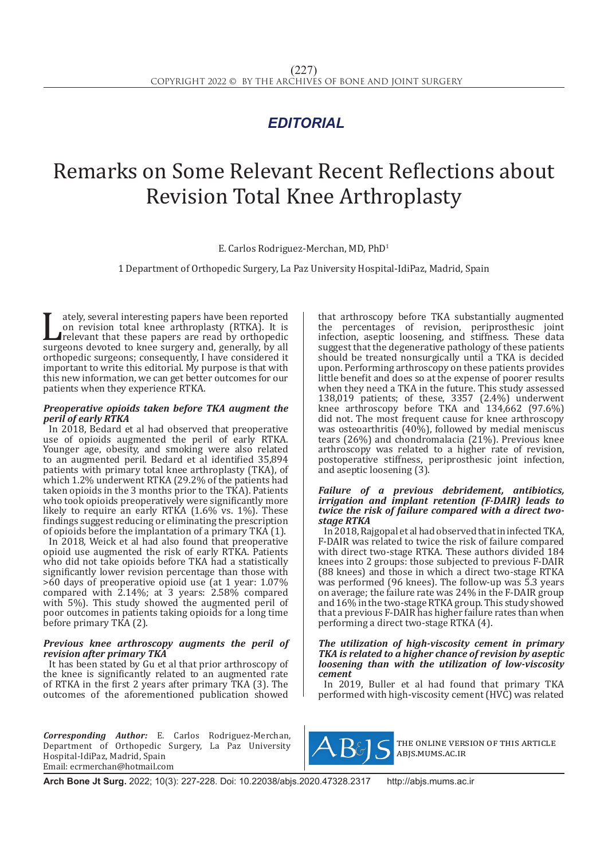## *EDITORIAL*

# Remarks on Some Relevant Recent Reflections about Revision Total Knee Arthroplasty

E. Carlos Rodriguez-Merchan, MD, PhD1

1 Department of Orthopedic Surgery, La Paz University Hospital-IdiPaz, Madrid, Spain

The arthroplasty (RTKA). It is<br>
surgeons devoted to knee surgery and, generally, by all<br>
surgeons devoted to knee surgery and, generally, by all<br>
surfamedic surgeons: consequently I have considered it on revision total knee arthroplasty (RTKA). It is relevant that these papers are read by orthopedic orthopedic surgeons; consequently, I have considered it important to write this editorial. My purpose is that with this new information, we can get better outcomes for our patients when they experience RTKA.

#### *Preoperative opioids taken before TKA augment the peril of early RTKA*

In 2018, Bedard et al had observed that preoperative use of opioids augmented the peril of early RTKA. Younger age, obesity, and smoking were also related to an augmented peril. Bedard et al identified 35,894 patients with primary total knee arthroplasty (TKA), of which 1.2% underwent RTKA (29.2% of the patients had taken opioids in the 3 months prior to the TKA). Patients who took opioids preoperatively were significantly more likely to require an early RTKA (1.6% vs. 1%). These findings suggest reducing or eliminating the prescription of opioids before the implantation of a primary TKA  $(1)$ .

In 2018, Weick et al had also found that preoperative opioid use augmented the risk of early RTKA. Patients who did not take opioids before TKA had a statistically significantly lower revision percentage than those with >60 days of preoperative opioid use (at 1 year: 1.07% compared with 2.14%; at 3 years: 2.58% compared with 5%). This study showed the augmented peril of poor outcomes in patients taking opioids for a long time before primary TKA (2).

#### *Previous knee arthroscopy augments the peril of revision after primary TKA*

It has been stated by Gu et al that prior arthroscopy of the knee is significantly related to an augmented rate of RTKA in the first 2 years after primary TKA (3). The outcomes of the aforementioned publication showed

*Corresponding Author:* E. Carlos Rodriguez-Merchan, Department of Orthopedic Surgery, La Paz University Hospital-IdiPaz, Madrid, Spain Email: ecrmerchan@hotmail.com

that arthroscopy before TKA substantially augmented the percentages of revision, periprosthesic joint infection, aseptic loosening, and stiffness. These data suggest that the degenerative pathology of these patients should be treated nonsurgically until a TKA is decided upon. Performing arthroscopy on these patients provides little benefit and does so at the expense of poorer results when they need a TKA in the future. This study assessed 138,019 patients; of these, 3357 (2.4%) underwent knee arthroscopy before TKA and 134,662 (97.6%) did not. The most frequent cause for knee arthroscopy was osteoarthritis (40%), followed by medial meniscus tears (26%) and chondromalacia (21%). Previous knee arthroscopy was related to a higher rate of revision, postoperative stiffness, periprosthesic joint infection, and aseptic loosening (3).

#### *Failure of a previous debridement, antibiotics, irrigation and implant retention (F-DAIR) leads to twice the risk of failure compared with a direct twostage RTKA*

In 2018, Rajgopal et al had observed that in infected TKA, F-DAIR was related to twice the risk of failure compared with direct two-stage RTKA. These authors divided 184 knees into 2 groups: those subjected to previous F-DAIR (88 knees) and those in which a direct two-stage RTKA was performed (96 knees). The follow-up was 5.3 years on average; the failure rate was 24% in the F-DAIR group and 16% in the two-stage RTKA group. This study showed that a previous F-DAIR has higher failure rates than when performing a direct two-stage RTKA (4).

#### *The utilization of high-viscosity cement in primary TKA is related to a higher chance of revision by aseptic loosening than with the utilization of low-viscosity cement*

In 2019, Buller et al had found that primary TKA performed with high-viscosity cement (HVC) was related



the online version of this article abjs.mums.ac.ir

**Arch Bone Jt Surg.** 2022; 10(3): 227-228. Doi: 10.22038/abjs.2020.47328.2317 http://abjs.mums.ac.ir